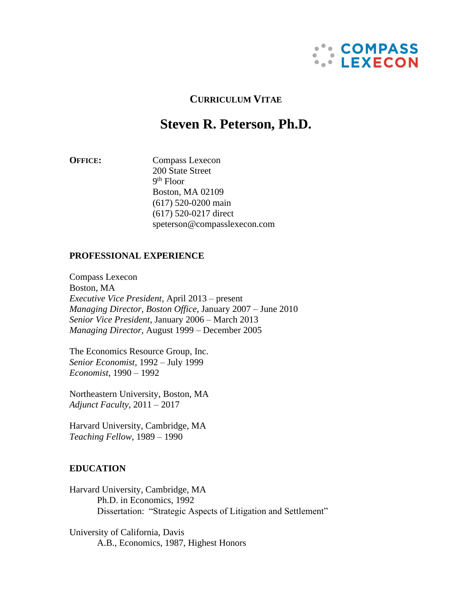

# **CURRICULUM VITAE**

# **Steven R. Peterson, Ph.D.**

**OFFICE:** Compass Lexecon 200 State Street 9 th Floor Boston, MA 02109 (617) 520-0200 main (617) 520-0217 direct speterson@compasslexecon.com

### **PROFESSIONAL EXPERIENCE**

Compass Lexecon Boston, MA *Executive Vice President,* April 2013 – present *Managing Director, Boston Office*, January 2007 – June 2010 *Senior Vice President*, January 2006 – March 2013 *Managing Director,* August 1999 – December 2005

The Economics Resource Group, Inc. *Senior Economist*, 1992 – July 1999 *Economist*, 1990 – 1992

Northeastern University, Boston, MA *Adjunct Faculty*, 2011 – 2017

Harvard University, Cambridge, MA *Teaching Fellow*, 1989 – 1990

### **EDUCATION**

Harvard University, Cambridge, MA Ph.D. in Economics, 1992 Dissertation: "Strategic Aspects of Litigation and Settlement"

University of California, Davis A.B., Economics, 1987, Highest Honors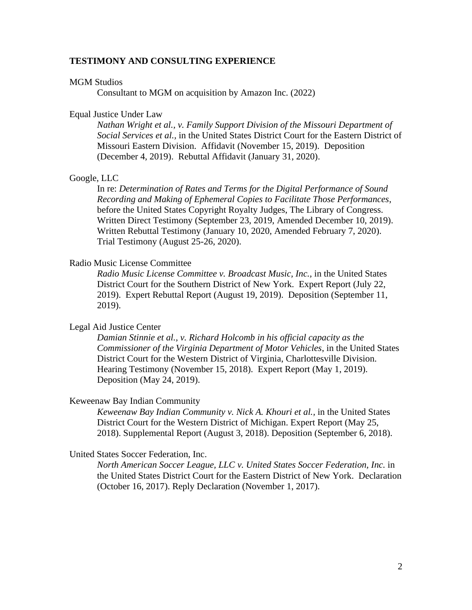### **TESTIMONY AND CONSULTING EXPERIENCE**

#### MGM Studios

Consultant to MGM on acquisition by Amazon Inc. (2022)

#### Equal Justice Under Law

*Nathan Wright et al., v. Family Support Division of the Missouri Department of Social Services et al.,* in the United States District Court for the Eastern District of Missouri Eastern Division. Affidavit (November 15, 2019). Deposition (December 4, 2019). Rebuttal Affidavit (January 31, 2020).

### Google, LLC

In re: *Determination of Rates and Terms for the Digital Performance of Sound Recording and Making of Ephemeral Copies to Facilitate Those Performances*, before the United States Copyright Royalty Judges, The Library of Congress. Written Direct Testimony (September 23, 2019, Amended December 10, 2019). Written Rebuttal Testimony (January 10, 2020, Amended February 7, 2020). Trial Testimony (August 25-26, 2020).

### Radio Music License Committee

*Radio Music License Committee v. Broadcast Music, Inc.,* in the United States District Court for the Southern District of New York. Expert Report (July 22, 2019). Expert Rebuttal Report (August 19, 2019). Deposition (September 11, 2019).

### Legal Aid Justice Center

*Damian Stinnie et al., v. Richard Holcomb in his official capacity as the Commissioner of the Virginia Department of Motor Vehicles*, in the United States District Court for the Western District of Virginia, Charlottesville Division. Hearing Testimony (November 15, 2018). Expert Report (May 1, 2019). Deposition (May 24, 2019).

#### Keweenaw Bay Indian Community

*Keweenaw Bay Indian Community v. Nick A. Khouri et al.,* in the United States District Court for the Western District of Michigan. Expert Report (May 25, 2018). Supplemental Report (August 3, 2018). Deposition (September 6, 2018).

### United States Soccer Federation, Inc.

*North American Soccer League, LLC v. United States Soccer Federation, Inc.* in the United States District Court for the Eastern District of New York. Declaration (October 16, 2017). Reply Declaration (November 1, 2017).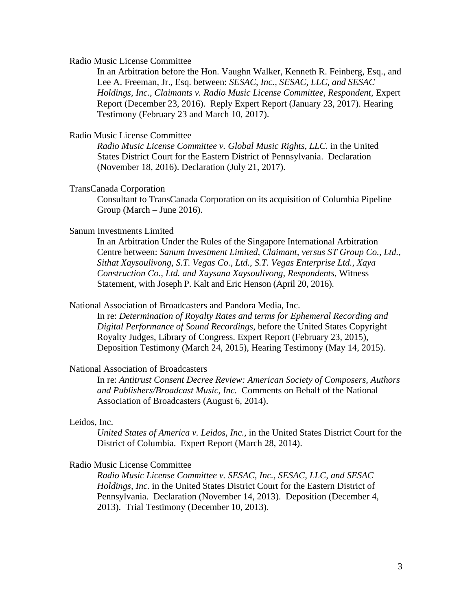### Radio Music License Committee

In an Arbitration before the Hon. Vaughn Walker, Kenneth R. Feinberg, Esq., and Lee A. Freeman, Jr., Esq. between: *SESAC, Inc., SESAC, LLC, and SESAC Holdings, Inc., Claimants v. Radio Music License Committee, Respondent,* Expert Report (December 23, 2016). Reply Expert Report (January 23, 2017). Hearing Testimony (February 23 and March 10, 2017).

### Radio Music License Committee

*Radio Music License Committee v. Global Music Rights, LLC.* in the United States District Court for the Eastern District of Pennsylvania. Declaration (November 18, 2016). Declaration (July 21, 2017).

### TransCanada Corporation

Consultant to TransCanada Corporation on its acquisition of Columbia Pipeline Group (March – June 2016).

### Sanum Investments Limited

In an Arbitration Under the Rules of the Singapore International Arbitration Centre between: *Sanum Investment Limited, Claimant, versus ST Group Co., Ltd., Sithat Xaysoulivong, S.T. Vegas Co., Ltd., S.T. Vegas Enterprise Ltd., Xaya Construction Co., Ltd. and Xaysana Xaysoulivong*, *Respondents*, Witness Statement, with Joseph P. Kalt and Eric Henson (April 20, 2016).

#### National Association of Broadcasters and Pandora Media, Inc.

In re: *Determination of Royalty Rates and terms for Ephemeral Recording and Digital Performance of Sound Recordings*, before the United States Copyright Royalty Judges, Library of Congress. Expert Report (February 23, 2015), Deposition Testimony (March 24, 2015), Hearing Testimony (May 14, 2015).

### National Association of Broadcasters

In re: *Antitrust Consent Decree Review: American Society of Composers, Authors and Publishers/Broadcast Music, Inc.* Comments on Behalf of the National Association of Broadcasters (August 6, 2014).

#### Leidos, Inc.

*United States of America v. Leidos, Inc.,* in the United States District Court for the District of Columbia. Expert Report (March 28, 2014).

### Radio Music License Committee

*Radio Music License Committee v. SESAC, Inc., SESAC, LLC, and SESAC Holdings, Inc.* in the United States District Court for the Eastern District of Pennsylvania. Declaration (November 14, 2013). Deposition (December 4, 2013). Trial Testimony (December 10, 2013).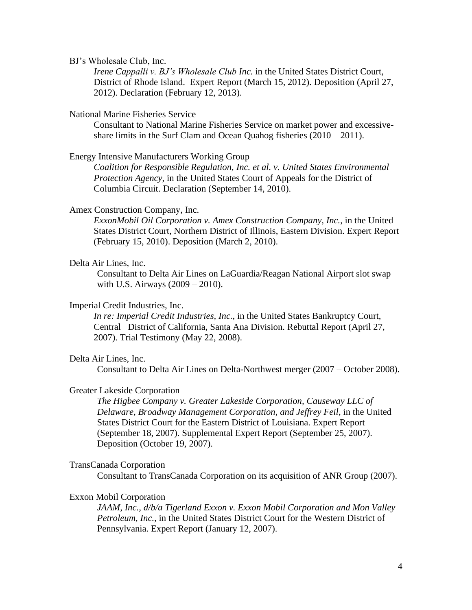BJ's Wholesale Club, Inc.

*Irene Cappalli v. BJ's Wholesale Club Inc.* in the United States District Court, District of Rhode Island. Expert Report (March 15, 2012). Deposition (April 27, 2012). Declaration (February 12, 2013).

#### National Marine Fisheries Service

Consultant to National Marine Fisheries Service on market power and excessiveshare limits in the Surf Clam and Ocean Quahog fisheries (2010 – 2011).

Energy Intensive Manufacturers Working Group

*Coalition for Responsible Regulation, Inc. et al. v. United States Environmental Protection Agency*, in the United States Court of Appeals for the District of Columbia Circuit. Declaration (September 14, 2010).

### Amex Construction Company, Inc.

*ExxonMobil Oil Corporation v. Amex Construction Company, Inc.*, in the United States District Court, Northern District of Illinois, Eastern Division. Expert Report (February 15, 2010). Deposition (March 2, 2010).

### Delta Air Lines, Inc.

Consultant to Delta Air Lines on LaGuardia/Reagan National Airport slot swap with U.S. Airways (2009 – 2010).

### Imperial Credit Industries, Inc.

*In re: Imperial Credit Industries, Inc.,* in the United States Bankruptcy Court, Central District of California, Santa Ana Division. Rebuttal Report (April 27, 2007). Trial Testimony (May 22, 2008).

### Delta Air Lines, Inc.

Consultant to Delta Air Lines on Delta-Northwest merger (2007 – October 2008).

### Greater Lakeside Corporation

*The Higbee Company v. Greater Lakeside Corporation, Causeway LLC of Delaware, Broadway Management Corporation, and Jeffrey Feil,* in the United States District Court for the Eastern District of Louisiana. Expert Report (September 18, 2007). Supplemental Expert Report (September 25, 2007). Deposition (October 19, 2007).

### TransCanada Corporation

Consultant to TransCanada Corporation on its acquisition of ANR Group (2007).

### Exxon Mobil Corporation

*JAAM, Inc., d/b/a Tigerland Exxon v. Exxon Mobil Corporation and Mon Valley Petroleum, Inc.,* in the United States District Court for the Western District of Pennsylvania. Expert Report (January 12, 2007).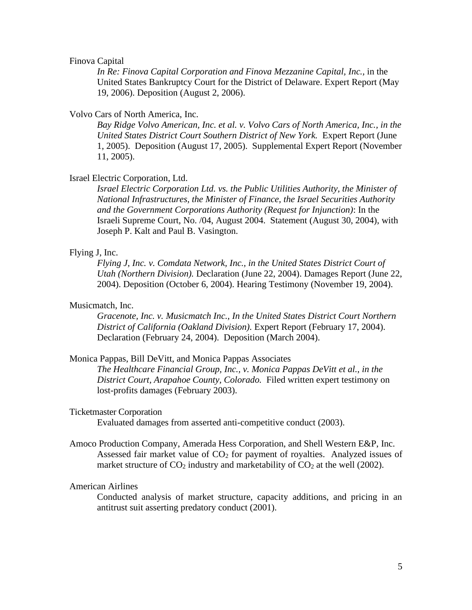#### Finova Capital

*In Re: Finova Capital Corporation and Finova Mezzanine Capital, Inc.,* in the United States Bankruptcy Court for the District of Delaware. Expert Report (May 19, 2006). Deposition (August 2, 2006).

#### Volvo Cars of North America, Inc.

*Bay Ridge Volvo American, Inc. et al. v. Volvo Cars of North America, Inc., in the United States District Court Southern District of New York.* Expert Report (June 1, 2005). Deposition (August 17, 2005). Supplemental Expert Report (November 11, 2005).

### Israel Electric Corporation, Ltd.

*Israel Electric Corporation Ltd. vs. the Public Utilities Authority, the Minister of National Infrastructures, the Minister of Finance, the Israel Securities Authority and the Government Corporations Authority (Request for Injunction)*: In the Israeli Supreme Court, No. /04, August 2004. Statement (August 30, 2004), with Joseph P. Kalt and Paul B. Vasington.

### Flying J, Inc.

*Flying J, Inc. v. Comdata Network, Inc., in the United States District Court of Utah (Northern Division).* Declaration (June 22, 2004). Damages Report (June 22, 2004). Deposition (October 6, 2004). Hearing Testimony (November 19, 2004).

### Musicmatch, Inc.

*Gracenote, Inc. v. Musicmatch Inc., In the United States District Court Northern District of California (Oakland Division).* Expert Report (February 17, 2004). Declaration (February 24, 2004). Deposition (March 2004).

#### Monica Pappas, Bill DeVitt, and Monica Pappas Associates

*The Healthcare Financial Group, Inc., v. Monica Pappas DeVitt et al., in the District Court, Arapahoe County, Colorado.* Filed written expert testimony on lost-profits damages (February 2003).

### Ticketmaster Corporation

Evaluated damages from asserted anti-competitive conduct (2003).

Amoco Production Company, Amerada Hess Corporation, and Shell Western E&P, Inc. Assessed fair market value of  $CO<sub>2</sub>$  for payment of royalties. Analyzed issues of market structure of  $CO_2$  industry and marketability of  $CO_2$  at the well (2002).

#### American Airlines

Conducted analysis of market structure, capacity additions, and pricing in an antitrust suit asserting predatory conduct (2001).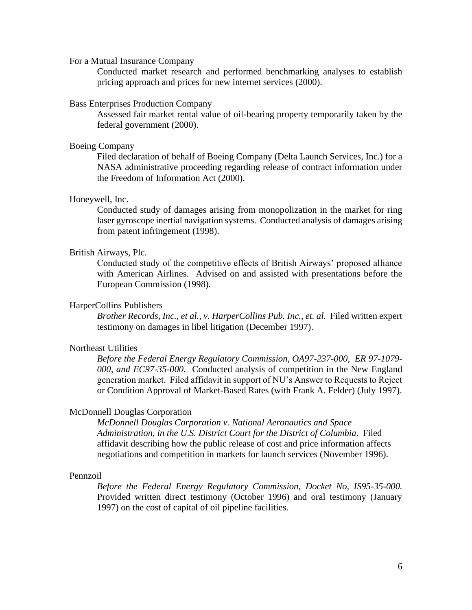For a Mutual Insurance Company

Conducted market research and performed benchmarking analyses to establish pricing approach and prices for new internet services (2000).

#### Bass Enterprises Production Company

Assessed fair market rental value of oil-bearing property temporarily taken by the federal government (2000).

#### Boeing Company

Filed declaration of behalf of Boeing Company (Delta Launch Services, Inc.) for a NASA administrative proceeding regarding release of contract information under the Freedom of Information Act (2000).

### Honeywell, Inc.

Conducted study of damages arising from monopolization in the market for ring laser gyroscope inertial navigation systems. Conducted analysis of damages arising from patent infringement (1998).

#### British Airways, Plc.

Conducted study of the competitive effects of British Airways' proposed alliance with American Airlines. Advised on and assisted with presentations before the European Commission (1998).

### HarperCollins Publishers

*Brother Records, Inc., et al., v. HarperCollins Pub. Inc., et. al.* Filed written expert testimony on damages in libel litigation (December 1997).

### Northeast Utilities

*Before the Federal Energy Regulatory Commission, OA97-237-000, ER 97-1079- 000, and EC97-35-000.* Conducted analysis of competition in the New England generation market. Filed affidavit in support of NU's Answer to Requests to Reject or Condition Approval of Market-Based Rates (with Frank A. Felder) (July 1997).

### McDonnell Douglas Corporation

*McDonnell Douglas Corporation v. National Aeronautics and Space Administration, in the U.S. District Court for the District of Columbia*. Filed affidavit describing how the public release of cost and price information affects negotiations and competition in markets for launch services (November 1996).

### Pennzoil

*Before the Federal Energy Regulatory Commission, Docket No, IS95-35-000.* Provided written direct testimony (October 1996) and oral testimony (January 1997) on the cost of capital of oil pipeline facilities.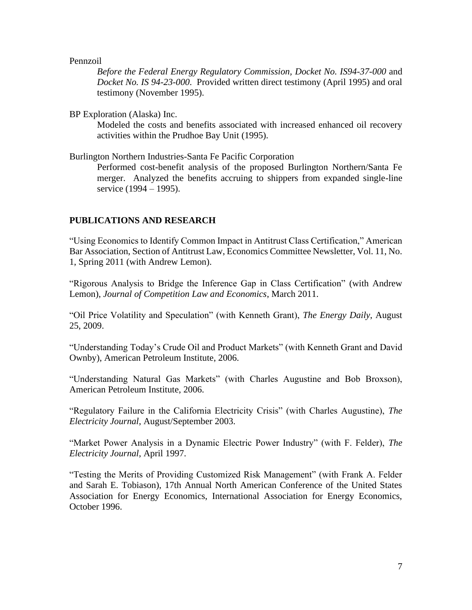### Pennzoil

*Before the Federal Energy Regulatory Commission, Docket No. IS94-37-000* and *Docket No. IS 94-23-000*. Provided written direct testimony (April 1995) and oral testimony (November 1995).

BP Exploration (Alaska) Inc.

Modeled the costs and benefits associated with increased enhanced oil recovery activities within the Prudhoe Bay Unit (1995).

Burlington Northern Industries-Santa Fe Pacific Corporation

Performed cost-benefit analysis of the proposed Burlington Northern/Santa Fe merger. Analyzed the benefits accruing to shippers from expanded single-line service (1994 – 1995).

### **PUBLICATIONS AND RESEARCH**

"Using Economics to Identify Common Impact in Antitrust Class Certification," American Bar Association, Section of Antitrust Law, Economics Committee Newsletter, Vol. 11, No. 1, Spring 2011 (with Andrew Lemon).

"Rigorous Analysis to Bridge the Inference Gap in Class Certification" (with Andrew Lemon), *Journal of Competition Law and Economics*, March 2011.

"Oil Price Volatility and Speculation" (with Kenneth Grant), *The Energy Daily*, August 25, 2009.

"Understanding Today's Crude Oil and Product Markets" (with Kenneth Grant and David Ownby), American Petroleum Institute, 2006.

"Understanding Natural Gas Markets" (with Charles Augustine and Bob Broxson), American Petroleum Institute, 2006.

"Regulatory Failure in the California Electricity Crisis" (with Charles Augustine), *The Electricity Journal*, August/September 2003.

"Market Power Analysis in a Dynamic Electric Power Industry" (with F. Felder), *The Electricity Journal*, April 1997.

"Testing the Merits of Providing Customized Risk Management" (with Frank A. Felder and Sarah E. Tobiason), 17th Annual North American Conference of the United States Association for Energy Economics, International Association for Energy Economics, October 1996.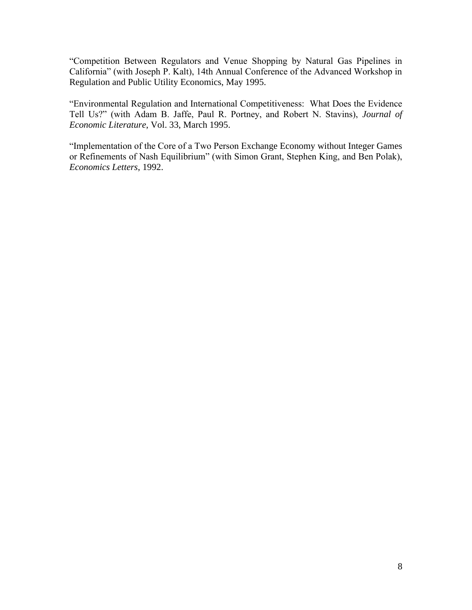"Competition Between Regulators and Venue Shopping by Natural Gas Pipelines in California" (with Joseph P. Kalt), 14th Annual Conference of the Advanced Workshop in Regulation and Public Utility Economics, May 1995.

"Environmental Regulation and International Competitiveness: What Does the Evidence Tell Us?" (with Adam B. Jaffe, Paul R. Portney, and Robert N. Stavins), *Journal of Economic Literature*, Vol. 33, March 1995.

"Implementation of the Core of a Two Person Exchange Economy without Integer Games or Refinements of Nash Equilibrium" (with Simon Grant, Stephen King, and Ben Polak), *Economics Letters*, 1992.